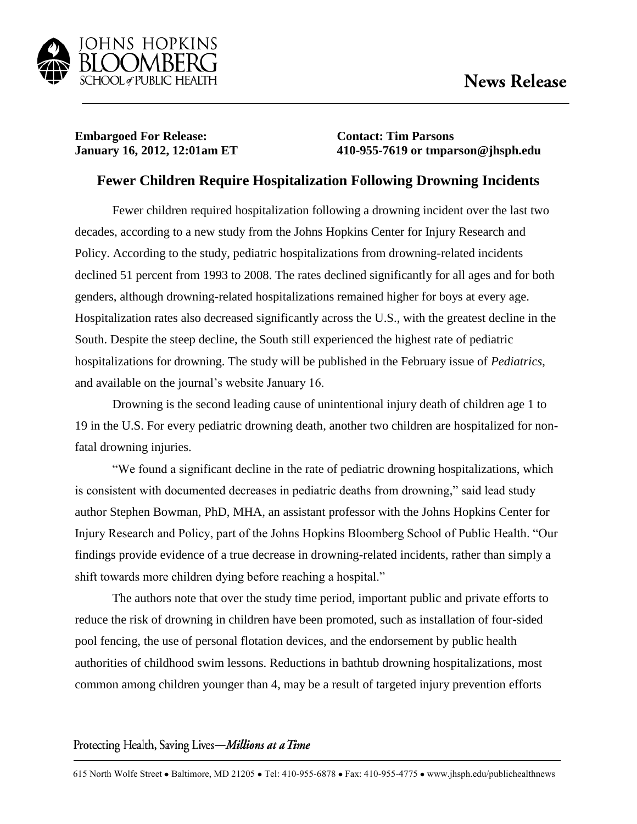

## **Embargoed For Release: Contact: Tim Parsons**

**January 16, 2012, 12:01am ET 410-955-7619 or tmparson@jhsph.edu**

## **Fewer Children Require Hospitalization Following Drowning Incidents**

Fewer children required hospitalization following a drowning incident over the last two decades, according to a new study from the Johns Hopkins Center for Injury Research and Policy. According to the study, pediatric hospitalizations from drowning-related incidents declined 51 percent from 1993 to 2008. The rates declined significantly for all ages and for both genders, although drowning-related hospitalizations remained higher for boys at every age. Hospitalization rates also decreased significantly across the U.S., with the greatest decline in the South. Despite the steep decline, the South still experienced the highest rate of pediatric hospitalizations for drowning. The study will be published in the February issue of *Pediatrics*, and available on the journal's website January 16.

Drowning is the second leading cause of unintentional injury death of children age 1 to 19 in the U.S. For every pediatric drowning death, another two children are hospitalized for nonfatal drowning injuries.

"We found a significant decline in the rate of pediatric drowning hospitalizations, which is consistent with documented decreases in pediatric deaths from drowning," said lead study author Stephen Bowman, PhD, MHA, an assistant professor with the Johns Hopkins Center for Injury Research and Policy, part of the Johns Hopkins Bloomberg School of Public Health. "Our findings provide evidence of a true decrease in drowning-related incidents, rather than simply a shift towards more children dying before reaching a hospital."

The authors note that over the study time period, important public and private efforts to reduce the risk of drowning in children have been promoted, such as installation of four-sided pool fencing, the use of personal flotation devices, and the endorsement by public health authorities of childhood swim lessons. Reductions in bathtub drowning hospitalizations, most common among children younger than 4, may be a result of targeted injury prevention efforts

## Protecting Health, Saving Lives-Millions at a Time